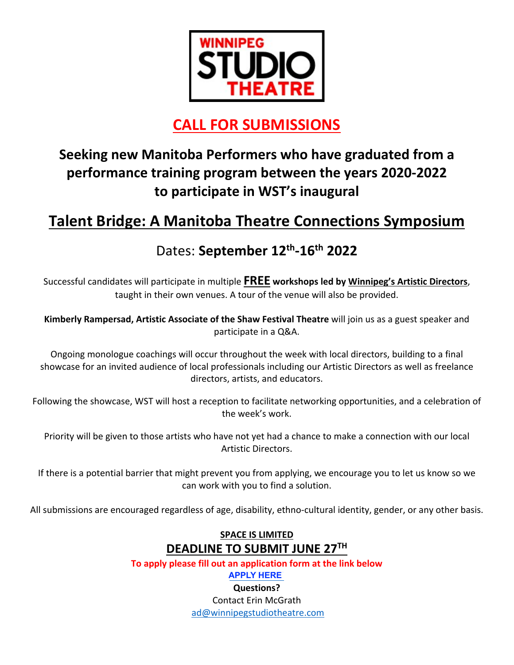

## **CALL FOR SUBMISSIONS**

## **Seeking new Manitoba Performers who have graduated from a performance training program between the years 2020-2022 to participate in WST's inaugural**

#### **Talent Bridge: A Manitoba Theatre Connections Symposium https://winnipegstudiotheatre.com/wp2020/event/talent-bridge-a-manitoba-theatre-connections-symposium/**

## Dates: **September 12th-16th 2022**

Successful candidates will participate in multiple **FREE workshops led by Winnipeg's Artistic Directors**, taught in their own venues. A tour of the venue will also be provided.

**Kimberly Rampersad, Artistic Associate of the Shaw Festival Theatre** will join us as a guest speaker and participate in a Q&A.

Ongoing monologue coachings will occur throughout the week with local directors, building to a final showcase for an invited audience of local professionals including our Artistic Directors as well as freelance directors, artists, and educators.

Following the showcase, WST will host a reception to facilitate networking opportunities, and a celebration of the week's work.

Priority will be given to those artists who have not yet had a chance to make a connection with our local Artistic Directors.

If there is a potential barrier that might prevent you from applying, we encourage you to let us know so we can work with you to find a solution.

All submissions are encouraged regardless of age, disability, ethno-cultural identity, gender, or any other basis.

### **SPACE IS LIMITED DEADLINE TO SUBMIT JUNE 27TH**

**To apply please fill out an application form at the link below**

**https://windicatrion.com/web/2020/event/talent-bridge-a-manifold basebook** 

**Questions?**  Contact Erin McGrath ad@winnipegstudiotheatre.com